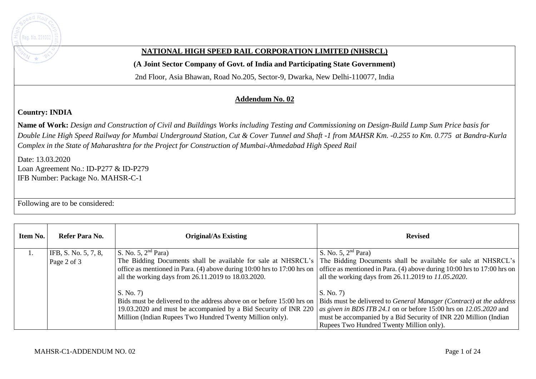

## **NATIONAL HIGH SPEED RAIL CORPORATION LIMITED (NHSRCL)**

**(A Joint Sector Company of Govt. of India and Participating State Government)** 

2nd Floor, Asia Bhawan, Road No.205, Sector-9, Dwarka, New Delhi-110077, India

## **Addendum No. 02**

## **Country: INDIA**

**Name of Work:** *Design and Construction of Civil and Buildings Works including Testing and Commissioning on Design-Build Lump Sum Price basis for Double Line High Speed Railway for Mumbai Underground Station, Cut & Cover Tunnel and Shaft -1 from MAHSR Km. -0.255 to Km. 0.775 at Bandra-Kurla Complex in the State of Maharashtra for the Project for Construction of Mumbai-Ahmedabad High Speed Rail*

Date: 13.03.2020 Loan Agreement No.: ID-P277 & ID-P279 IFB Number: Package No. MAHSR-C-1

Following are to be considered:

| Item No. | Refer Para No.       | <b>Original/As Existing</b>                                             | <b>Revised</b>                                                                                                                                     |
|----------|----------------------|-------------------------------------------------------------------------|----------------------------------------------------------------------------------------------------------------------------------------------------|
|          | IFB, S. No. 5, 7, 8, | S. No. 5, $2nd$ Para)                                                   | S. No. 5, $2nd$ Para)                                                                                                                              |
|          | Page 2 of 3          | The Bidding Documents shall be available for sale at NHSRCL's           | The Bidding Documents shall be available for sale at NHSRCL's                                                                                      |
|          |                      | office as mentioned in Para. (4) above during 10:00 hrs to 17:00 hrs on | office as mentioned in Para. (4) above during 10:00 hrs to 17:00 hrs on                                                                            |
|          |                      | all the working days from 26.11.2019 to 18.03.2020.                     | all the working days from 26.11.2019 to 11.05.2020.                                                                                                |
|          |                      | S. No. 7)                                                               | S. No. 7                                                                                                                                           |
|          |                      |                                                                         | Bids must be delivered to the address above on or before 15:00 hrs on   Bids must be delivered to <i>General Manager (Contract) at the address</i> |
|          |                      | 19.03.2020 and must be accompanied by a Bid Security of INR 220         | as given in BDS ITB 24.1 on or before 15:00 hrs on 12.05.2020 and                                                                                  |
|          |                      | Million (Indian Rupees Two Hundred Twenty Million only).                | must be accompanied by a Bid Security of INR 220 Million (Indian                                                                                   |
|          |                      |                                                                         | Rupees Two Hundred Twenty Million only).                                                                                                           |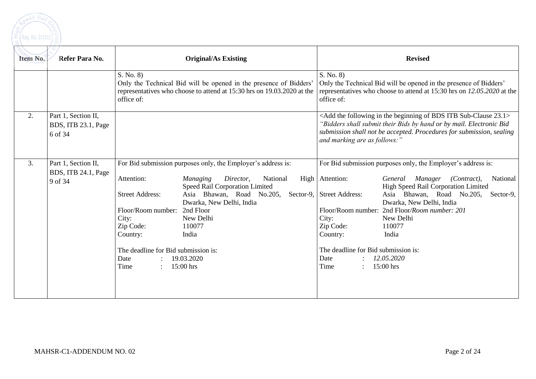

| Item No. | Refer Para No.                                        | <b>Original/As Existing</b>                                                                                                                                                                                                                                                                                                                                                                                                           | <b>Revised</b>                                                                                                                                                                                                                                                                                                                                                                                                                                                              |
|----------|-------------------------------------------------------|---------------------------------------------------------------------------------------------------------------------------------------------------------------------------------------------------------------------------------------------------------------------------------------------------------------------------------------------------------------------------------------------------------------------------------------|-----------------------------------------------------------------------------------------------------------------------------------------------------------------------------------------------------------------------------------------------------------------------------------------------------------------------------------------------------------------------------------------------------------------------------------------------------------------------------|
|          |                                                       | S. No. 8)<br>Only the Technical Bid will be opened in the presence of Bidders'<br>representatives who choose to attend at 15:30 hrs on 19.03.2020 at the<br>office of:                                                                                                                                                                                                                                                                | S. No. 8)<br>Only the Technical Bid will be opened in the presence of Bidders'<br>representatives who choose to attend at 15:30 hrs on 12.05.2020 at the<br>office of:                                                                                                                                                                                                                                                                                                      |
| 2.       | Part 1, Section II,<br>BDS, ITB 23.1, Page<br>6 of 34 |                                                                                                                                                                                                                                                                                                                                                                                                                                       | <add 23.1="" bds="" beginning="" following="" in="" itb="" of="" sub-clause="" the=""><br/>"Bidders shall submit their Bids by hand or by mail. Electronic Bid<br/>submission shall not be accepted. Procedures for submission, sealing<br/>and marking are as follows:"</add>                                                                                                                                                                                              |
| 3.       | Part 1, Section II,<br>BDS, ITB 24.1, Page<br>9 of 34 | For Bid submission purposes only, the Employer's address is:<br>Attention:<br><b>Managing</b><br>Director,<br>National<br>Speed Rail Corporation Limited<br>Asia Bhawan, Road<br><b>Street Address:</b><br>No.205,<br>Dwarka, New Delhi, India<br>Floor/Room number:<br>2nd Floor<br>City:<br>New Delhi<br>Zip Code:<br>110077<br>Country:<br>India<br>The deadline for Bid submission is:<br>Date<br>19.03.2020<br>Time<br>15:00 hrs | For Bid submission purposes only, the Employer's address is:<br>High Attention:<br>General Manager (Contract),<br>National<br>High Speed Rail Corporation Limited<br>Asia Bhawan, Road No.205,<br>Sector-9, Street Address:<br>Sector-9,<br>Dwarka, New Delhi, India<br>Floor/Room number: 2nd Floor/Room number: 201<br>City:<br>New Delhi<br>Zip Code:<br>110077<br>Country:<br>India<br>The deadline for Bid submission is:<br>Date<br>12.05.2020<br>Time<br>$15:00$ hrs |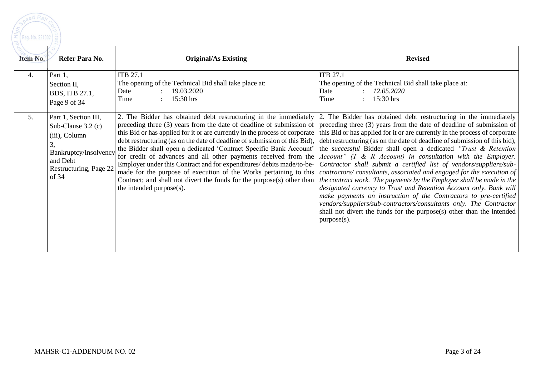| Item No. | Refer Para No.                                                                                                                              | <b>Original/As Existing</b>                                                                                                     | <b>Revised</b>                                                                                                                                                                                                                                                                                                                                                                                                                                                                                                                                                                                                                                                                                                                                                                                                                                                                                                                                                                                                                                                                                                                                                                                                                                                                                                                                                                                                                                                                                                                                                                                                                                    |
|----------|---------------------------------------------------------------------------------------------------------------------------------------------|---------------------------------------------------------------------------------------------------------------------------------|---------------------------------------------------------------------------------------------------------------------------------------------------------------------------------------------------------------------------------------------------------------------------------------------------------------------------------------------------------------------------------------------------------------------------------------------------------------------------------------------------------------------------------------------------------------------------------------------------------------------------------------------------------------------------------------------------------------------------------------------------------------------------------------------------------------------------------------------------------------------------------------------------------------------------------------------------------------------------------------------------------------------------------------------------------------------------------------------------------------------------------------------------------------------------------------------------------------------------------------------------------------------------------------------------------------------------------------------------------------------------------------------------------------------------------------------------------------------------------------------------------------------------------------------------------------------------------------------------------------------------------------------------|
| 4.       | Part 1,<br>Section II,<br>BDS, ITB 27.1,<br>Page 9 of 34                                                                                    | <b>ITB 27.1</b><br>The opening of the Technical Bid shall take place at:<br>19.03.2020<br>Date<br>: $15:30 \text{ hrs}$<br>Time | <b>ITB 27.1</b><br>The opening of the Technical Bid shall take place at:<br>12.05.2020<br>Date<br>: $15:30 \text{ hrs}$<br>Time                                                                                                                                                                                                                                                                                                                                                                                                                                                                                                                                                                                                                                                                                                                                                                                                                                                                                                                                                                                                                                                                                                                                                                                                                                                                                                                                                                                                                                                                                                                   |
| 5.       | Part 1, Section III,<br>Sub-Clause $3.2$ (c)<br>(iii), Column<br>3,<br>Bankruptcy/Insolvency<br>and Debt<br>Restructuring, Page 22<br>of 34 | the intended purpose(s).                                                                                                        | 2. The Bidder has obtained debt restructuring in the immediately 2. The Bidder has obtained debt restructuring in the immediately<br>preceding three (3) years from the date of deadline of submission of preceding three (3) years from the date of deadline of submission of<br>this Bid or has applied for it or are currently in the process of corporate this Bid or has applied for it or are currently in the process of corporate<br>debt restructuring (as on the date of deadline of submission of this Bid), debt restructuring (as on the date of deadline of submission of this bid),<br>the Bidder shall open a dedicated 'Contract Specific Bank Account' the <i>successful</i> Bidder shall open a dedicated "Trust & Retention"<br>for credit of advances and all other payments received from the $ Account"$ (T & R Account) in consultation with the Employer.<br>Employer under this Contract and for expenditures/ debits made/to-be- <i>Contractor shall submit a certified list of vendors/suppliers/sub-</i><br>made for the purpose of execution of the Works pertaining to this <i>contractors/consultants, associated and engaged for the execution of</i><br>Contract; and shall not divert the funds for the purpose(s) other than   the contract work. The payments by the Employer shall be made in the  <br>designated currency to Trust and Retention Account only. Bank will<br>make payments on instruction of the Contractors to pre-certified<br>vendors/suppliers/sub-contractors/consultants only. The Contractor<br>shall not divert the funds for the purpose(s) other than the intended<br>purpose(s). |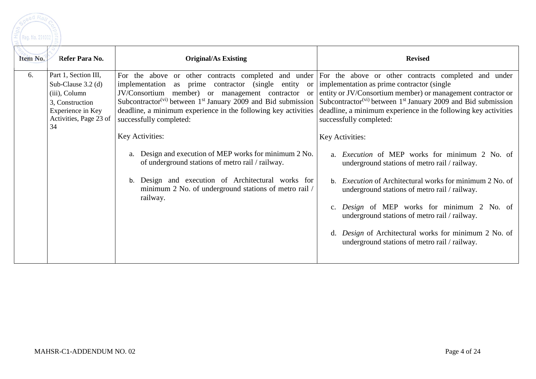eed Ra Reg. No. 291002

| Item No. | Refer Para No.                                                                                                                        | <b>Original/As Existing</b>                                                                                                                                                                                                                                                                                                                                                                                                                                                                                                                                                                                                                                                                                                                                 | <b>Revised</b>                                                                                                                                                                                                                                                                                                                                                                                                                                                                                                                                                                                                                                        |
|----------|---------------------------------------------------------------------------------------------------------------------------------------|-------------------------------------------------------------------------------------------------------------------------------------------------------------------------------------------------------------------------------------------------------------------------------------------------------------------------------------------------------------------------------------------------------------------------------------------------------------------------------------------------------------------------------------------------------------------------------------------------------------------------------------------------------------------------------------------------------------------------------------------------------------|-------------------------------------------------------------------------------------------------------------------------------------------------------------------------------------------------------------------------------------------------------------------------------------------------------------------------------------------------------------------------------------------------------------------------------------------------------------------------------------------------------------------------------------------------------------------------------------------------------------------------------------------------------|
| 6.       | Part 1, Section III,<br>Sub-Clause $3.2$ (d)<br>(iii), Column<br>3, Construction<br>Experience in Key<br>Activities, Page 23 of<br>34 | implementation as prime contractor (single entity or implementation as prime contractor (single<br>JV/Consortium member) or management contractor or entity or JV/Consortium member) or management contractor or<br>Subcontractor <sup>(vi)</sup> between 1 <sup>st</sup> January 2009 and Bid submission Subcontractor <sup>(vi)</sup> between 1 <sup>st</sup> January 2009 and Bid submission<br>deadline, a minimum experience in the following key activities<br>successfully completed:<br>Key Activities:<br>a. Design and execution of MEP works for minimum 2 No.<br>of underground stations of metro rail / railway.<br>Design and execution of Architectural works for<br>b.<br>minimum 2 No. of underground stations of metro rail /<br>railway. | For the above or other contracts completed and under For the above or other contracts completed and under<br>deadline, a minimum experience in the following key activities<br>successfully completed:<br>Key Activities:<br><i>Execution</i> of MEP works for minimum 2 No. of<br>underground stations of metro rail / railway.<br><i>Execution</i> of Architectural works for minimum 2 No. of<br>underground stations of metro rail / railway.<br>Design of MEP works for minimum 2 No. of<br>underground stations of metro rail / railway.<br>Design of Architectural works for minimum 2 No. of<br>underground stations of metro rail / railway. |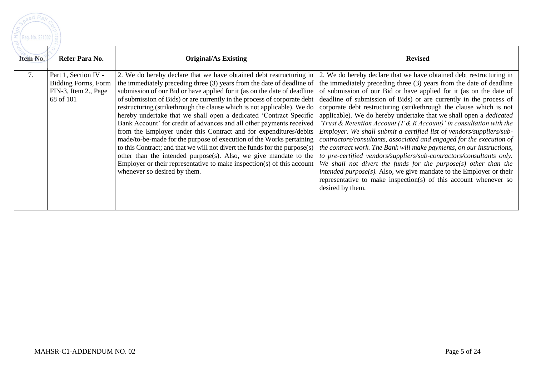

| Item No.<br>Refer Para No.                                                                    | <b>Original/As Existing</b>                                                                                                                                                                                                                                                                                                                                                                                                                                                                                                                                                                                                                                                                                                                                                                                                                                                                                                                                                                                                                                                                                                                                                                                                                                                                     | <b>Revised</b>                                                                                                                                                                                                                                                                                                                                                                                                                                                                                                                                                                                                                                                                            |
|-----------------------------------------------------------------------------------------------|-------------------------------------------------------------------------------------------------------------------------------------------------------------------------------------------------------------------------------------------------------------------------------------------------------------------------------------------------------------------------------------------------------------------------------------------------------------------------------------------------------------------------------------------------------------------------------------------------------------------------------------------------------------------------------------------------------------------------------------------------------------------------------------------------------------------------------------------------------------------------------------------------------------------------------------------------------------------------------------------------------------------------------------------------------------------------------------------------------------------------------------------------------------------------------------------------------------------------------------------------------------------------------------------------|-------------------------------------------------------------------------------------------------------------------------------------------------------------------------------------------------------------------------------------------------------------------------------------------------------------------------------------------------------------------------------------------------------------------------------------------------------------------------------------------------------------------------------------------------------------------------------------------------------------------------------------------------------------------------------------------|
| 7.<br>Part 1, Section IV -<br><b>Bidding Forms, Form</b><br>FIN-3, Item 2., Page<br>68 of 101 | 2. We do hereby declare that we have obtained debt restructuring in 2. We do hereby declare that we have obtained debt restructuring in<br>the immediately preceding three $(3)$ years from the date of deadline of the immediately preceding three $(3)$ years from the date of deadline<br>submission of our Bid or have applied for it (as on the date of deadline of submission of our Bid or have applied for it (as on the date of<br>of submission of Bids) or are currently in the process of corporate debt deadline of submission of Bids) or are currently in the process of<br>restructuring (strikethrough the clause which is not applicable). We do   corporate debt restructuring (strikethrough the clause which is not<br>hereby undertake that we shall open a dedicated 'Contract Specific<br>Bank Account' for credit of advances and all other payments received<br>from the Employer under this Contract and for expenditures/debits<br>made/to-be-made for the purpose of execution of the Works pertaining<br>to this Contract; and that we will not divert the funds for the purpose(s)<br>other than the intended purpose(s). Also, we give mandate to the<br>Employer or their representative to make inspection(s) of this account<br>whenever so desired by them. | applicable). We do hereby undertake that we shall open a <i>dedicated</i><br>'Trust & Retention Account (T & R Account)' in consultation with the<br>Employer. We shall submit a certified list of vendors/suppliers/sub-<br>contractors/consultants, associated and engaged for the execution of<br>the contract work. The Bank will make payments, on our instructions,<br>to pre-certified vendors/suppliers/sub-contractors/consultants only.<br>We shall not divert the funds for the purpose $(s)$ other than the<br>intended $purpose(s)$ . Also, we give mandate to the Employer or their<br>representative to make inspection(s) of this account whenever so<br>desired by them. |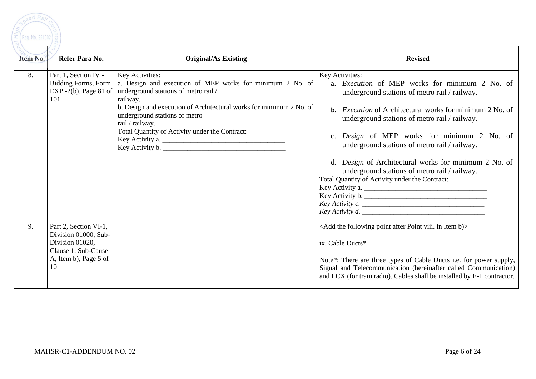

| Item No. | Refer Para No.                                                                                                         | <b>Original/As Existing</b>                                                                                                                                                                                                                                                                                                                              | <b>Revised</b>                                                                                                                                                                                                                                                                                                                                                                                                                                                                                                                                                                 |
|----------|------------------------------------------------------------------------------------------------------------------------|----------------------------------------------------------------------------------------------------------------------------------------------------------------------------------------------------------------------------------------------------------------------------------------------------------------------------------------------------------|--------------------------------------------------------------------------------------------------------------------------------------------------------------------------------------------------------------------------------------------------------------------------------------------------------------------------------------------------------------------------------------------------------------------------------------------------------------------------------------------------------------------------------------------------------------------------------|
| 8.       | Part 1, Section IV -<br>Bidding Forms, Form<br>101                                                                     | Key Activities:<br>a. Design and execution of MEP works for minimum 2 No. of<br>EXP -2(b), Page 81 of   underground stations of metro rail /<br>railway.<br>b. Design and execution of Architectural works for minimum 2 No. of<br>underground stations of metro<br>rail / railway.<br>Total Quantity of Activity under the Contract:<br>Key Activity a. | Key Activities:<br>a. <i>Execution</i> of MEP works for minimum 2 No. of<br>underground stations of metro rail / railway.<br><i>Execution</i> of Architectural works for minimum 2 No. of<br>$h_{-}$<br>underground stations of metro rail / railway.<br>Design of MEP works for minimum 2 No. of<br>underground stations of metro rail / railway.<br>d. <i>Design</i> of Architectural works for minimum 2 No. of<br>underground stations of metro rail / railway.<br>Total Quantity of Activity under the Contract:<br>Key Activity a.<br>Key Activity b.<br>Key Activity c. |
| 9.       | Part 2, Section VI-1,<br>Division 01000, Sub-<br>Division 01020,<br>Clause 1, Sub-Cause<br>A, Item b), Page 5 of<br>10 |                                                                                                                                                                                                                                                                                                                                                          | <add after="" b)="" following="" in="" item="" point="" the="" viii.=""><br/>ix. Cable Ducts*<br/>Note*: There are three types of Cable Ducts i.e. for power supply,<br/>Signal and Telecommunication (hereinafter called Communication)<br/>and LCX (for train radio). Cables shall be installed by E-1 contractor.</add>                                                                                                                                                                                                                                                     |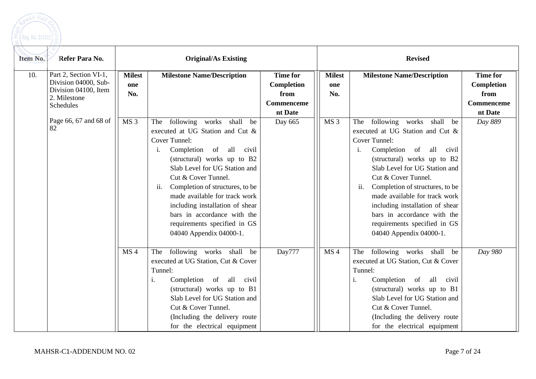

| Item No. | Refer Para No.                                                                                     | <b>Original/As Existing</b> |                                                                                                                                                                                                                                                                                                                                                                                                                               |                                                                | <b>Revised</b>              |                                                                                                                                                                                                                                                                                                                                                                                                                         |                                                                |
|----------|----------------------------------------------------------------------------------------------------|-----------------------------|-------------------------------------------------------------------------------------------------------------------------------------------------------------------------------------------------------------------------------------------------------------------------------------------------------------------------------------------------------------------------------------------------------------------------------|----------------------------------------------------------------|-----------------------------|-------------------------------------------------------------------------------------------------------------------------------------------------------------------------------------------------------------------------------------------------------------------------------------------------------------------------------------------------------------------------------------------------------------------------|----------------------------------------------------------------|
| 10.      | Part 2, Section VI-1,<br>Division 04000, Sub-<br>Division 04100, Item<br>2. Milestone<br>Schedules | <b>Milest</b><br>one<br>No. | <b>Milestone Name/Description</b>                                                                                                                                                                                                                                                                                                                                                                                             | <b>Time for</b><br>Completion<br>from<br>Commenceme<br>nt Date | <b>Milest</b><br>one<br>No. | <b>Milestone Name/Description</b>                                                                                                                                                                                                                                                                                                                                                                                       | <b>Time for</b><br>Completion<br>from<br>Commenceme<br>nt Date |
|          | Page 66, 67 and 68 of<br>82                                                                        | MS <sub>3</sub>             | following works shall<br>The<br>be<br>executed at UG Station and Cut &<br>Cover Tunnel:<br>of all<br>Completion<br>i.<br>civil<br>(structural) works up to B2<br>Slab Level for UG Station and<br>Cut & Cover Tunnel.<br>Completion of structures, to be<br>ii.<br>made available for track work<br>including installation of shear<br>bars in accordance with the<br>requirements specified in GS<br>04040 Appendix 04000-1. | Day 665                                                        | MS <sub>3</sub>             | following works shall<br>The<br>be<br>executed at UG Station and Cut &<br>Cover Tunnel:<br>Completion of all civil<br>i.<br>(structural) works up to B2<br>Slab Level for UG Station and<br>Cut & Cover Tunnel.<br>Completion of structures, to be<br>ii.<br>made available for track work<br>including installation of shear<br>bars in accordance with the<br>requirements specified in GS<br>04040 Appendix 04000-1. | Day 889                                                        |
|          |                                                                                                    | MS <sub>4</sub>             | following works shall<br>be<br>The<br>executed at UG Station, Cut & Cover<br>Tunnel:<br>Completion<br>of all civil<br>i.<br>(structural) works up to B1<br>Slab Level for UG Station and<br>Cut & Cover Tunnel.<br>(Including the delivery route)<br>for the electrical equipment                                                                                                                                             | Day777                                                         | MS <sub>4</sub>             | following works shall be<br>The<br>executed at UG Station, Cut & Cover<br>Tunnel:<br>Completion of all civil<br>(structural) works up to B1<br>Slab Level for UG Station and<br>Cut & Cover Tunnel.<br>(Including the delivery route<br>for the electrical equipment                                                                                                                                                    | Day 980                                                        |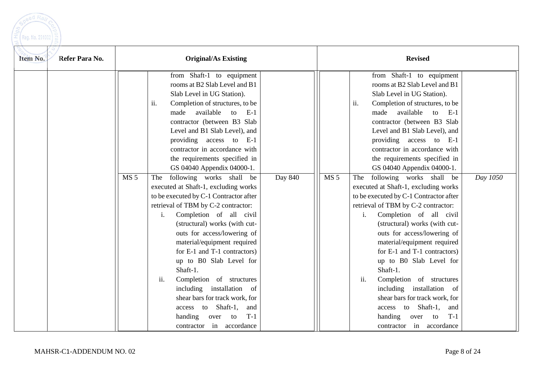

| Refer Para No.<br>Item No. | <b>Original/As Existing</b>                                                                                                                                                                                                                                                                                                                                                                                                                                                                                                                                                                                                                                                                                                                                                                                                                                                                                                                                         |         | <b>Revised</b>                                                                                                                                                                                                                                                                                                                                                                                                                                                                                                                                                                                                                                                                                                                                                                                                                                                                                                                                 |          |  |  |
|----------------------------|---------------------------------------------------------------------------------------------------------------------------------------------------------------------------------------------------------------------------------------------------------------------------------------------------------------------------------------------------------------------------------------------------------------------------------------------------------------------------------------------------------------------------------------------------------------------------------------------------------------------------------------------------------------------------------------------------------------------------------------------------------------------------------------------------------------------------------------------------------------------------------------------------------------------------------------------------------------------|---------|------------------------------------------------------------------------------------------------------------------------------------------------------------------------------------------------------------------------------------------------------------------------------------------------------------------------------------------------------------------------------------------------------------------------------------------------------------------------------------------------------------------------------------------------------------------------------------------------------------------------------------------------------------------------------------------------------------------------------------------------------------------------------------------------------------------------------------------------------------------------------------------------------------------------------------------------|----------|--|--|
|                            | from Shaft-1 to equipment<br>rooms at B2 Slab Level and B1<br>Slab Level in UG Station).<br>ii.<br>Completion of structures, to be<br>available<br>to<br>$E-1$<br>made<br>contractor (between B3 Slab<br>Level and B1 Slab Level), and<br>providing access to E-1<br>contractor in accordance with<br>the requirements specified in<br>GS 04040 Appendix 04000-1.<br>MS <sub>5</sub><br>The following works shall be<br>executed at Shaft-1, excluding works<br>to be executed by C-1 Contractor after<br>retrieval of TBM by C-2 contractor:<br>$\mathbf{i}$ .<br>Completion of all civil<br>(structural) works (with cut-<br>outs for access/lowering of<br>material/equipment required<br>for E-1 and T-1 contractors)<br>up to B0 Slab Level for<br>Shaft-1.<br>Completion of structures<br>ii.<br>including installation of<br>shear bars for track work, for<br>access to Shaft-1,<br>and<br>$T-1$<br>handing<br>over<br>to<br>in<br>accordance<br>contractor | Day 840 | from Shaft-1 to equipment<br>rooms at B2 Slab Level and B1<br>Slab Level in UG Station).<br>Completion of structures, to be<br>ii.<br>made available to<br>$E-1$<br>contractor (between B3 Slab<br>Level and B1 Slab Level), and<br>providing access to E-1<br>contractor in accordance with<br>the requirements specified in<br>GS 04040 Appendix 04000-1.<br>MS <sub>5</sub><br>following works shall be<br>The<br>executed at Shaft-1, excluding works<br>to be executed by C-1 Contractor after<br>retrieval of TBM by C-2 contractor:<br>Completion of all civil<br>$i$ .<br>(structural) works (with cut-<br>outs for access/lowering of<br>material/equipment required<br>for E-1 and T-1 contractors)<br>up to B0 Slab Level for<br>Shaft-1.<br>Completion of structures<br>ii.<br>including installation of<br>shear bars for track work, for<br>access to Shaft-1,<br>and<br>handing<br>$T-1$<br>over to<br>contractor in accordance | Day 1050 |  |  |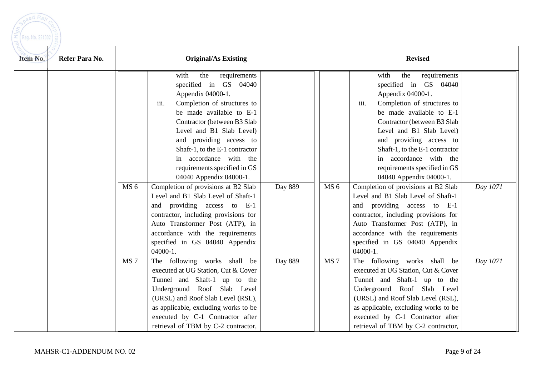

| Refer Para No.<br>Item No. | <b>Original/As Existing</b> |                                                                                                                                                                                                                                                                                                                                                                                                  |         | <b>Revised</b>  |                                                                                                                                                                                                                                                                                                                                                                                                  |          |  |
|----------------------------|-----------------------------|--------------------------------------------------------------------------------------------------------------------------------------------------------------------------------------------------------------------------------------------------------------------------------------------------------------------------------------------------------------------------------------------------|---------|-----------------|--------------------------------------------------------------------------------------------------------------------------------------------------------------------------------------------------------------------------------------------------------------------------------------------------------------------------------------------------------------------------------------------------|----------|--|
|                            | MS <sub>6</sub>             | requirements<br>the<br>with<br>specified in GS 04040<br>Appendix 04000-1.<br>Completion of structures to<br>iii.<br>be made available to E-1<br>Contractor (between B3 Slab<br>Level and B1 Slab Level)<br>and providing access to<br>Shaft-1, to the E-1 contractor<br>in accordance with the<br>requirements specified in GS<br>04040 Appendix 04000-1.<br>Completion of provisions at B2 Slab | Day 889 | MS <sub>6</sub> | requirements<br>with<br>the<br>specified in GS 04040<br>Appendix 04000-1.<br>iii.<br>Completion of structures to<br>be made available to E-1<br>Contractor (between B3 Slab<br>Level and B1 Slab Level)<br>and providing access to<br>Shaft-1, to the E-1 contractor<br>in accordance with the<br>requirements specified in GS<br>04040 Appendix 04000-1.<br>Completion of provisions at B2 Slab | Day 1071 |  |
|                            |                             | Level and B1 Slab Level of Shaft-1<br>and providing access to E-1<br>contractor, including provisions for<br>Auto Transformer Post (ATP), in<br>accordance with the requirements<br>specified in GS 04040 Appendix<br>$04000-1.$                                                                                                                                                                 |         |                 | Level and B1 Slab Level of Shaft-1<br>providing access to E-1<br>and<br>contractor, including provisions for<br>Auto Transformer Post (ATP), in<br>accordance with the requirements<br>specified in GS 04040 Appendix<br>04000-1.                                                                                                                                                                |          |  |
|                            | MS <sub>7</sub>             | The following works shall be<br>executed at UG Station, Cut & Cover<br>Tunnel and Shaft-1 up to the<br>Underground Roof Slab Level<br>(URSL) and Roof Slab Level (RSL),<br>as applicable, excluding works to be<br>executed by C-1 Contractor after<br>retrieval of TBM by C-2 contractor,                                                                                                       | Day 889 | MS <sub>7</sub> | The following works shall be<br>executed at UG Station, Cut & Cover<br>Tunnel and Shaft-1 up to the<br>Underground Roof Slab Level<br>(URSL) and Roof Slab Level (RSL),<br>as applicable, excluding works to be<br>executed by C-1 Contractor after<br>retrieval of TBM by C-2 contractor,                                                                                                       | Day 1071 |  |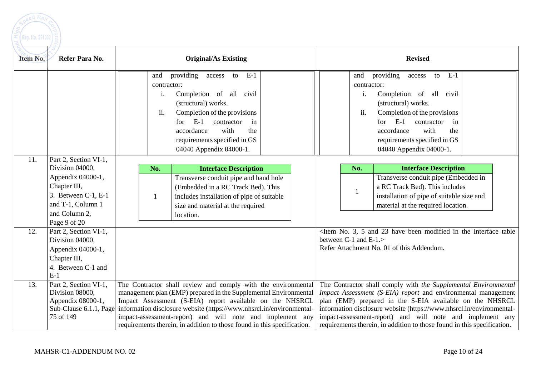

| Item No. | Refer Para No.                                                                                                 |                                 | <b>Original/As Existing</b>                                                                                                                                                                                                                                                                                                                                                                                   |                                 | <b>Revised</b>                                                                                                                                                                                                                                                                                                                                                                                               |  |
|----------|----------------------------------------------------------------------------------------------------------------|---------------------------------|---------------------------------------------------------------------------------------------------------------------------------------------------------------------------------------------------------------------------------------------------------------------------------------------------------------------------------------------------------------------------------------------------------------|---------------------------------|--------------------------------------------------------------------------------------------------------------------------------------------------------------------------------------------------------------------------------------------------------------------------------------------------------------------------------------------------------------------------------------------------------------|--|
|          |                                                                                                                | and<br>contractor:<br>i.<br>ii. | providing<br>$E-1$<br>access<br>to<br>Completion of all civil<br>(structural) works.<br>Completion of the provisions<br>$E-1$<br>contractor<br>for<br>in<br>with<br>accordance<br>the<br>requirements specified in GS                                                                                                                                                                                         | and<br>contractor:<br>i.<br>ii. | providing<br>$E-1$<br>access<br>to<br>Completion of all civil<br>(structural) works.<br>Completion of the provisions<br>$E-1$<br>contractor<br>for<br>in<br>accordance<br>with<br>the<br>requirements specified in GS                                                                                                                                                                                        |  |
|          |                                                                                                                |                                 | 04040 Appendix 04000-1.                                                                                                                                                                                                                                                                                                                                                                                       |                                 | 04040 Appendix 04000-1.                                                                                                                                                                                                                                                                                                                                                                                      |  |
| 11.      | Part 2, Section VI-1,<br>Division 04000,                                                                       | No.                             | <b>Interface Description</b>                                                                                                                                                                                                                                                                                                                                                                                  | No.                             | <b>Interface Description</b>                                                                                                                                                                                                                                                                                                                                                                                 |  |
|          | Appendix 04000-1,<br>Chapter III,<br>3. Between C-1, E-1<br>and T-1, Column 1<br>and Column 2,<br>Page 9 of 20 |                                 | Transverse conduit pipe and hand hole<br>(Embedded in a RC Track Bed). This<br>includes installation of pipe of suitable<br>size and material at the required<br>location.                                                                                                                                                                                                                                    |                                 | Transverse conduit pipe (Embedded in<br>a RC Track Bed). This includes<br>installation of pipe of suitable size and<br>material at the required location.                                                                                                                                                                                                                                                    |  |
| 12.      | Part 2, Section VI-1,<br>Division 04000,<br>Appendix 04000-1,<br>Chapter III,<br>4. Between C-1 and<br>$E-1$   |                                 |                                                                                                                                                                                                                                                                                                                                                                                                               | between $C-1$ and $E-1$ .       | <item 23="" 3,="" 5="" and="" been="" have="" in="" interface="" modified="" no.="" table<br="" the="">Refer Attachment No. 01 of this Addendum.</item>                                                                                                                                                                                                                                                      |  |
| 13.      | Part 2, Section VI-1,<br>Division 08000,<br>Appendix 08000-1,<br>Sub-Clause 6.1.1, Page<br>75 of 149           |                                 | The Contractor shall review and comply with the environmental<br>management plan (EMP) prepared in the Supplemental Environmental<br>Impact Assessment (S-EIA) report available on the NHSRCL<br>information disclosure website (https://www.nhsrcl.in/environmental-<br>impact-assessment-report) and will note and implement any<br>requirements therein, in addition to those found in this specification. |                                 | The Contractor shall comply with the Supplemental Environmental<br>Impact Assessment (S-EIA) report and environmental management<br>plan (EMP) prepared in the S-EIA available on the NHSRCL<br>information disclosure website (https://www.nhsrcl.in/environmental-<br>impact-assessment-report) and will note and implement any<br>requirements therein, in addition to those found in this specification. |  |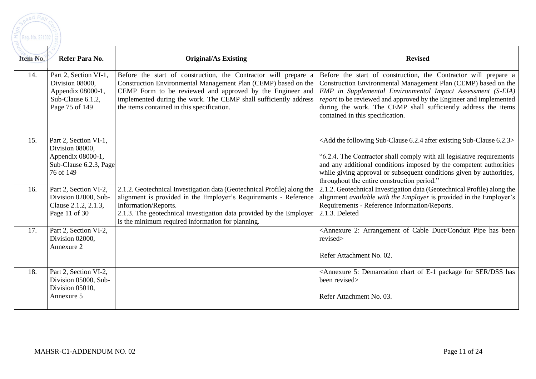

| Item No. | Refer Para No.                                                                                       | <b>Original/As Existing</b>                                                                                                                                                                                                                                                                                      | <b>Revised</b>                                                                                                                                                                                                                                                                                                                                                               |
|----------|------------------------------------------------------------------------------------------------------|------------------------------------------------------------------------------------------------------------------------------------------------------------------------------------------------------------------------------------------------------------------------------------------------------------------|------------------------------------------------------------------------------------------------------------------------------------------------------------------------------------------------------------------------------------------------------------------------------------------------------------------------------------------------------------------------------|
| 14.      | Part 2, Section VI-1,<br>Division 08000,<br>Appendix 08000-1,<br>Sub-Clause 6.1.2,<br>Page 75 of 149 | Before the start of construction, the Contractor will prepare a<br>Construction Environmental Management Plan (CEMP) based on the<br>CEMP Form to be reviewed and approved by the Engineer and<br>implemented during the work. The CEMP shall sufficiently address<br>the items contained in this specification. | Before the start of construction, the Contractor will prepare a<br>Construction Environmental Management Plan (CEMP) based on the<br>EMP in Supplemental Environmental Impact Assessment (S-EIA)<br>report to be reviewed and approved by the Engineer and implemented<br>during the work. The CEMP shall sufficiently address the items<br>contained in this specification. |
| 15.      | Part 2, Section VI-1,<br>Division 08000,<br>Appendix 08000-1,<br>Sub-Clause 6.2.3, Page<br>76 of 149 |                                                                                                                                                                                                                                                                                                                  | <add 6.2.3="" 6.2.4="" after="" existing="" following="" sub-clause="" the=""><br/>"6.2.4. The Contractor shall comply with all legislative requirements<br/>and any additional conditions imposed by the competent authorities<br/>while giving approval or subsequent conditions given by authorities,<br/>throughout the entire construction period."</add>               |
| 16.      | Part 2, Section VI-2,<br>Division 02000, Sub-<br>Clause 2.1.2, 2.1.3,<br>Page 11 of 30               | 2.1.2. Geotechnical Investigation data (Geotechnical Profile) along the<br>alignment is provided in the Employer's Requirements - Reference<br>Information/Reports.<br>2.1.3. The geotechnical investigation data provided by the Employer<br>is the minimum required information for planning.                  | 2.1.2. Geotechnical Investigation data (Geotechnical Profile) along the<br>alignment <i>available with the Employer</i> is provided in the Employer's<br>Requirements - Reference Information/Reports.<br>2.1.3. Deleted                                                                                                                                                     |
| 17.      | Part 2, Section VI-2,<br>Division 02000,<br>Annexure 2                                               |                                                                                                                                                                                                                                                                                                                  | <annexure 2:="" arrangement="" been<br="" cable="" conduit="" duct="" has="" of="" pipe="">revised&gt;<br/>Refer Attachment No. 02.</annexure>                                                                                                                                                                                                                               |
| 18.      | Part 2, Section VI-2,<br>Division 05000, Sub-<br>Division 05010,<br>Annexure 5                       |                                                                                                                                                                                                                                                                                                                  | <annexure 5:="" chart="" demarcation="" dss="" e-1="" for="" has<br="" of="" package="" ser="">been revised&gt;<br/>Refer Attachment No. 03.</annexure>                                                                                                                                                                                                                      |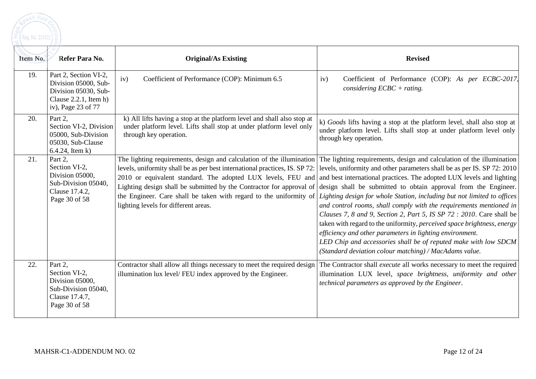| Item No. | Refer Para No.                                                                                                          | <b>Original/As Existing</b>                                                                                                                                                                                                                                                                                                                                                                                | <b>Revised</b>                                                                                                                                                                                                                                                                                                                                                                                                                                                                                                                                                                                                                                                                                                                                                                             |
|----------|-------------------------------------------------------------------------------------------------------------------------|------------------------------------------------------------------------------------------------------------------------------------------------------------------------------------------------------------------------------------------------------------------------------------------------------------------------------------------------------------------------------------------------------------|--------------------------------------------------------------------------------------------------------------------------------------------------------------------------------------------------------------------------------------------------------------------------------------------------------------------------------------------------------------------------------------------------------------------------------------------------------------------------------------------------------------------------------------------------------------------------------------------------------------------------------------------------------------------------------------------------------------------------------------------------------------------------------------------|
| 19.      | Part 2, Section VI-2,<br>Division 05000, Sub-<br>Division 05030, Sub-<br>Clause $2.2.1$ , Item h)<br>iv), Page 23 of 77 | iv)<br>Coefficient of Performance (COP): Minimum 6.5                                                                                                                                                                                                                                                                                                                                                       | Coefficient of Performance (COP): As per ECBC-2017,<br>iv)<br>considering $ECBC + rating$ .                                                                                                                                                                                                                                                                                                                                                                                                                                                                                                                                                                                                                                                                                                |
| 20.      | Part 2.<br>Section VI-2, Division<br>05000, Sub-Division<br>05030, Sub-Clause<br>$6.4.24$ , Item k)                     | k) All lifts having a stop at the platform level and shall also stop at<br>under platform level. Lifts shall stop at under platform level only<br>through key operation.                                                                                                                                                                                                                                   | k) Goods lifts having a stop at the platform level, shall also stop at<br>under platform level. Lifts shall stop at under platform level only<br>through key operation.                                                                                                                                                                                                                                                                                                                                                                                                                                                                                                                                                                                                                    |
| 21.      | Part 2.<br>Section VI-2,<br>Division 05000,<br>Sub-Division 05040,<br>Clause 17.4.2,<br>Page 30 of 58                   | The lighting requirements, design and calculation of the illumination<br>levels, uniformity shall be as per best international practices, IS. SP 72:<br>2010 or equivalent standard. The adopted LUX levels, FEU and<br>Lighting design shall be submitted by the Contractor for approval of<br>the Engineer. Care shall be taken with regard to the uniformity of<br>lighting levels for different areas. | The lighting requirements, design and calculation of the illumination<br>levels, uniformity and other parameters shall be as per IS. SP 72: 2010<br>and best international practices. The adopted LUX levels and lighting<br>design shall be submitted to obtain approval from the Engineer.<br>Lighting design for whole Station, including but not limited to offices<br>and control rooms, shall comply with the requirements mentioned in<br>Clauses 7, 8 and 9, Section 2, Part 5, IS SP 72 : 2010. Care shall be<br>taken with regard to the uniformity, perceived space brightness, energy<br>efficiency and other parameters in lighting environment.<br>LED Chip and accessories shall be of reputed make with low SDCM<br>(Standard deviation colour matching) / MacAdams value. |
| 22.      | Part 2,<br>Section VI-2,<br>Division 05000,<br>Sub-Division 05040,<br>Clause 17.4.7,<br>Page 30 of 58                   | Contractor shall allow all things necessary to meet the required design<br>illumination lux level/FEU index approved by the Engineer.                                                                                                                                                                                                                                                                      | The Contractor shall <i>execute</i> all works necessary to meet the required<br>illumination LUX level, space brightness, uniformity and other<br>technical parameters as approved by the Engineer.                                                                                                                                                                                                                                                                                                                                                                                                                                                                                                                                                                                        |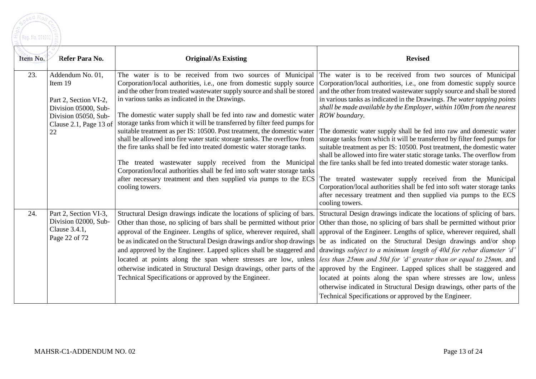

| Item No. | Refer Para No.                                                                                                                       | <b>Original/As Existing</b>                                                                                                                                                                                                                                                                                                                                                                                                                                                                                                                                             | <b>Revised</b>                                                                                                                                                                                                                                                                                                                                                                                                                                                                                                                                                                                                                                                                                                                                                                                                                                                                                                                                                                                                                                                                                                                                                                                                            |
|----------|--------------------------------------------------------------------------------------------------------------------------------------|-------------------------------------------------------------------------------------------------------------------------------------------------------------------------------------------------------------------------------------------------------------------------------------------------------------------------------------------------------------------------------------------------------------------------------------------------------------------------------------------------------------------------------------------------------------------------|---------------------------------------------------------------------------------------------------------------------------------------------------------------------------------------------------------------------------------------------------------------------------------------------------------------------------------------------------------------------------------------------------------------------------------------------------------------------------------------------------------------------------------------------------------------------------------------------------------------------------------------------------------------------------------------------------------------------------------------------------------------------------------------------------------------------------------------------------------------------------------------------------------------------------------------------------------------------------------------------------------------------------------------------------------------------------------------------------------------------------------------------------------------------------------------------------------------------------|
| 23.      | Addendum No. 01,<br>Item 19<br>Part 2, Section VI-2,<br>Division 05000, Sub-<br>Division 05050, Sub-<br>Clause 2.1, Page 13 of<br>22 | The water is to be received from two sources of Municipal<br>Corporation/local authorities, i.e., one from domestic supply source<br>and the other from treated wastewater supply source and shall be stored<br>in various tanks as indicated in the Drawings.<br>The domestic water supply shall be fed into raw and domestic water<br>storage tanks from which it will be transferred by filter feed pumps for<br>suitable treatment as per IS: 10500. Post treatment, the domestic water<br>shall be allowed into fire water static storage tanks. The overflow from | The water is to be received from two sources of Municipal<br>Corporation/local authorities, <i>i.e.</i> , one from domestic supply source<br>and the other from treated wastewater supply source and shall be stored<br>in various tanks as indicated in the Drawings. The water tapping points<br>shall be made available by the Employer, within 100m from the nearest<br>ROW boundary.<br>The domestic water supply shall be fed into raw and domestic water<br>storage tanks from which it will be transferred by filter feed pumps for                                                                                                                                                                                                                                                                                                                                                                                                                                                                                                                                                                                                                                                                               |
|          |                                                                                                                                      | the fire tanks shall be fed into treated domestic water storage tanks.<br>The treated wastewater supply received from the Municipal the fire tanks shall be fed into treated domestic water storage tanks.<br>Corporation/local authorities shall be fed into soft water storage tanks<br>after necessary treatment and then supplied via pumps to the ECS<br>cooling towers.                                                                                                                                                                                           | suitable treatment as per IS: 10500. Post treatment, the domestic water<br>shall be allowed into fire water static storage tanks. The overflow from<br>The treated wastewater supply received from the Municipal<br>Corporation/local authorities shall be fed into soft water storage tanks<br>after necessary treatment and then supplied via pumps to the ECS<br>cooling towers.                                                                                                                                                                                                                                                                                                                                                                                                                                                                                                                                                                                                                                                                                                                                                                                                                                       |
| 24.      | Part 2, Section VI-3,<br>Division 02000, Sub-<br>Clause 3.4.1,<br>Page 22 of 72                                                      | Technical Specifications or approved by the Engineer.                                                                                                                                                                                                                                                                                                                                                                                                                                                                                                                   | Structural Design drawings indicate the locations of splicing of bars. Structural Design drawings indicate the locations of splicing of bars.<br>Other than those, no splicing of bars shall be permitted without prior Other than those, no splicing of bars shall be permitted without prior<br>approval of the Engineer. Lengths of splice, wherever required, shall approval of the Engineer. Lengths of splice, wherever required, shall<br>be as indicated on the Structural Design drawings and/or shop drawings be as indicated on the Structural Design drawings and/or shop<br>and approved by the Engineer. Lapped splices shall be staggered and drawings <i>subject to a minimum length of 40d for rebar diameter 'd'</i><br>located at points along the span where stresses are low, unless less than 25mm and 50d for 'd' greater than or equal to 25mm, and<br>otherwise indicated in Structural Design drawings, other parts of the approved by the Engineer. Lapped splices shall be staggered and<br>located at points along the span where stresses are low, unless<br>otherwise indicated in Structural Design drawings, other parts of the<br>Technical Specifications or approved by the Engineer. |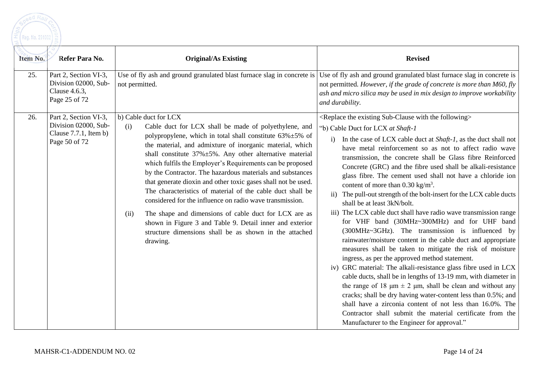

| Item No. | Refer Para No.                                                                             | <b>Original/As Existing</b>                                                                                                                                                                                                                                                                                                                                                                                                                                                                                                                                                                                                                                                                                                                                                                                       | <b>Revised</b>                                                                                                                                                                                                                                                                                                                                                                                                                                                                                                                                                                                                                                                                                                                                                                                                                                                                                                                                                                                                                                                                                                                                                                                                                                                                                                                                                                                                                                                                        |
|----------|--------------------------------------------------------------------------------------------|-------------------------------------------------------------------------------------------------------------------------------------------------------------------------------------------------------------------------------------------------------------------------------------------------------------------------------------------------------------------------------------------------------------------------------------------------------------------------------------------------------------------------------------------------------------------------------------------------------------------------------------------------------------------------------------------------------------------------------------------------------------------------------------------------------------------|---------------------------------------------------------------------------------------------------------------------------------------------------------------------------------------------------------------------------------------------------------------------------------------------------------------------------------------------------------------------------------------------------------------------------------------------------------------------------------------------------------------------------------------------------------------------------------------------------------------------------------------------------------------------------------------------------------------------------------------------------------------------------------------------------------------------------------------------------------------------------------------------------------------------------------------------------------------------------------------------------------------------------------------------------------------------------------------------------------------------------------------------------------------------------------------------------------------------------------------------------------------------------------------------------------------------------------------------------------------------------------------------------------------------------------------------------------------------------------------|
| 25.      | Part 2, Section VI-3,<br>Division 02000, Sub-<br>Clause 4.6.3,<br>Page 25 of 72            | Use of fly ash and ground granulated blast furnace slag in concrete is<br>not permitted.                                                                                                                                                                                                                                                                                                                                                                                                                                                                                                                                                                                                                                                                                                                          | Use of fly ash and ground granulated blast furnace slag in concrete is<br>not permitted. However, if the grade of concrete is more than M60, fly<br>ash and micro silica may be used in mix design to improve workability<br>and durability.                                                                                                                                                                                                                                                                                                                                                                                                                                                                                                                                                                                                                                                                                                                                                                                                                                                                                                                                                                                                                                                                                                                                                                                                                                          |
| 26.      | Part 2, Section VI-3,<br>Division 02000, Sub-<br>Clause $7.7.1$ , Item b)<br>Page 50 of 72 | b) Cable duct for LCX<br>(i)<br>Cable duct for LCX shall be made of polyethylene, and<br>polypropylene, which in total shall constitute $63\% \pm 5\%$ of<br>the material, and admixture of inorganic material, which<br>shall constitute $37\% \pm 5\%$ . Any other alternative material<br>which fulfils the Employer's Requirements can be proposed<br>by the Contractor. The hazardous materials and substances<br>that generate dioxin and other toxic gases shall not be used.<br>The characteristics of material of the cable duct shall be<br>considered for the influence on radio wave transmission.<br>The shape and dimensions of cable duct for LCX are as<br>(ii)<br>shown in Figure 3 and Table 9. Detail inner and exterior<br>structure dimensions shall be as shown in the attached<br>drawing. | <replace existing="" following="" sub-clause="" the="" with=""><br/>"b) Cable Duct for LCX at Shaft-1<br/>In the case of LCX cable duct at <i>Shaft-1</i>, as the duct shall not<br/>have metal reinforcement so as not to affect radio wave<br/>transmission, the concrete shall be Glass fibre Reinforced<br/>Concrete (GRC) and the fibre used shall be alkali-resistance<br/>glass fibre. The cement used shall not have a chloride ion<br/>content of more than <math>0.30 \text{ kg/m}^3</math>.<br/>ii) The pull-out strength of the bolt-insert for the LCX cable ducts<br/>shall be at least 3kN/bolt.<br/>iii) The LCX cable duct shall have radio wave transmission range<br/>for VHF band (30MHz~300MHz) and for UHF band<br/>(300MHz~3GHz). The transmission is influenced by<br/>rainwater/moisture content in the cable duct and appropriate<br/>measures shall be taken to mitigate the risk of moisture<br/>ingress, as per the approved method statement.<br/>iv) GRC material: The alkali-resistance glass fibre used in LCX<br/>cable ducts, shall be in lengths of 13-19 mm, with diameter in<br/>the range of 18 <math>\mu</math>m <math>\pm</math> 2 <math>\mu</math>m, shall be clean and without any<br/>cracks; shall be dry having water-content less than 0.5%; and<br/>shall have a zirconia content of not less than 16.0%. The<br/>Contractor shall submit the material certificate from the<br/>Manufacturer to the Engineer for approval."</replace> |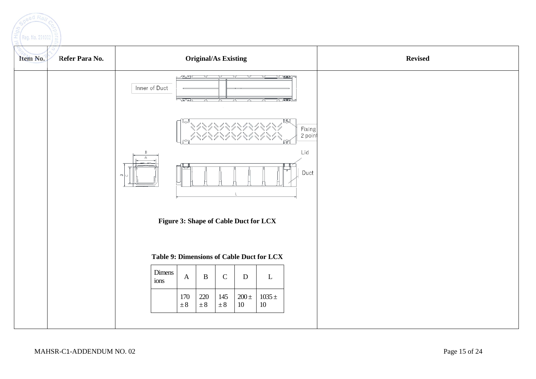

| Refer Para No.<br>Item No. | <b>Original/As Existing</b>                   |                                                                                                                                                                                                                                               |                                        |                     |                                           |                                | <b>Revised</b> |  |
|----------------------------|-----------------------------------------------|-----------------------------------------------------------------------------------------------------------------------------------------------------------------------------------------------------------------------------------------------|----------------------------------------|---------------------|-------------------------------------------|--------------------------------|----------------|--|
|                            | Inner of Duct                                 | part of the control of the second party of the second second the second second that the second second second the second second second second second second second second second second second second second second second seco<br><b>Lear</b> | X                                      | Y<br>v              | <b>SATEET</b>                             | $\sqrt{10001}$                 |                |  |
|                            |                                               |                                                                                                                                                                                                                                               |                                        |                     |                                           | তা<br>Fixing<br>2 point<br>ಗಾಗ |                |  |
|                            | В<br>$\Delta$<br>$\qquad \qquad \blacksquare$ |                                                                                                                                                                                                                                               |                                        | $\mathsf{L}$        |                                           | Lid<br>Duct                    |                |  |
|                            |                                               | Figure 3: Shape of Cable Duct for LCX                                                                                                                                                                                                         |                                        |                     |                                           |                                |                |  |
|                            |                                               |                                                                                                                                                                                                                                               |                                        |                     | Table 9: Dimensions of Cable Duct for LCX |                                |                |  |
|                            | Dimens<br>ions                                | $\boldsymbol{\mathsf{A}}$                                                                                                                                                                                                                     | $\, {\bf B}$<br>${\bf C}$              | $\mathbf D$         | $\mathbf{L}$                              |                                |                |  |
|                            |                                               | 170<br>$\pm 8$                                                                                                                                                                                                                                | $220\,$<br>145<br>$\pm\,8$<br>$\pm\,8$ | $200 \pm$<br>$10\,$ | $1035 \pm$<br>$10\,$                      |                                |                |  |
|                            |                                               |                                                                                                                                                                                                                                               |                                        |                     |                                           |                                |                |  |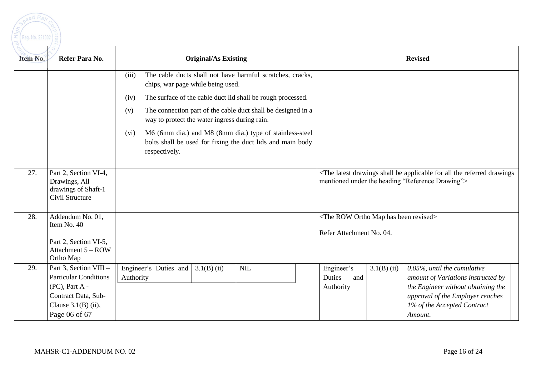

| Item No. | Refer Para No.                                                                                                                               | <b>Original/As Existing</b>                                                                                                                    | <b>Revised</b>                                                                                                                                                                                                                                         |
|----------|----------------------------------------------------------------------------------------------------------------------------------------------|------------------------------------------------------------------------------------------------------------------------------------------------|--------------------------------------------------------------------------------------------------------------------------------------------------------------------------------------------------------------------------------------------------------|
|          |                                                                                                                                              | The cable ducts shall not have harmful scratches, cracks,<br>(iii)<br>chips, war page while being used.                                        |                                                                                                                                                                                                                                                        |
|          |                                                                                                                                              | The surface of the cable duct lid shall be rough processed.<br>(iv)                                                                            |                                                                                                                                                                                                                                                        |
|          |                                                                                                                                              | The connection part of the cable duct shall be designed in a<br>(v)<br>way to protect the water ingress during rain.                           |                                                                                                                                                                                                                                                        |
|          |                                                                                                                                              | M6 (6mm dia.) and M8 (8mm dia.) type of stainless-steel<br>(vi)<br>bolts shall be used for fixing the duct lids and main body<br>respectively. |                                                                                                                                                                                                                                                        |
| 27.      | Part 2, Section VI-4,<br>Drawings, All<br>drawings of Shaft-1<br>Civil Structure                                                             |                                                                                                                                                | <the all="" applicable="" be="" drawings="" drawings<br="" for="" latest="" referred="" shall="" the="">mentioned under the heading "Reference Drawing"&gt;</the>                                                                                      |
| 28.      | Addendum No. 01,<br>Item No. 40<br>Part 2, Section VI-5,<br>Attachment 5 - ROW<br>Ortho Map                                                  |                                                                                                                                                | <the been="" has="" map="" ortho="" revised="" row=""><br/>Refer Attachment No. 04.</the>                                                                                                                                                              |
| 29.      | Part 3, Section VIII -<br><b>Particular Conditions</b><br>$(PC)$ , Part A -<br>Contract Data, Sub-<br>Clause $3.1(B)$ (ii),<br>Page 06 of 67 | Engineer's Duties and $\vert 3.1(B)$ (ii)<br><b>NIL</b><br>Authority                                                                           | $3.1(B)$ (ii)<br>$0.05\%$ , until the cumulative<br>Engineer's<br>Duties<br>and<br>amount of Variations instructed by<br>the Engineer without obtaining the<br>Authority<br>approval of the Employer reaches<br>1% of the Accepted Contract<br>Amount. |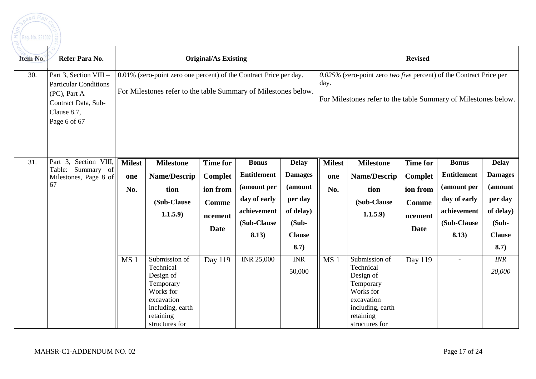

| Item No. | Refer Para No.                                                                                                                    | <b>Original/As Existing</b>                                                                                                          |                                                                                                                                    |                                                                                  |                                                                                                          |                                                                                                        |                                                                                                                                          | <b>Revised</b>                                                                                                                     |                                                                                         |                                                                                                          |                                                                                                        |
|----------|-----------------------------------------------------------------------------------------------------------------------------------|--------------------------------------------------------------------------------------------------------------------------------------|------------------------------------------------------------------------------------------------------------------------------------|----------------------------------------------------------------------------------|----------------------------------------------------------------------------------------------------------|--------------------------------------------------------------------------------------------------------|------------------------------------------------------------------------------------------------------------------------------------------|------------------------------------------------------------------------------------------------------------------------------------|-----------------------------------------------------------------------------------------|----------------------------------------------------------------------------------------------------------|--------------------------------------------------------------------------------------------------------|
| 30.      | Part 3, Section VIII -<br><b>Particular Conditions</b><br>$(PC)$ , Part A –<br>Contract Data, Sub-<br>Clause 8.7,<br>Page 6 of 67 | 0.01% (zero-point zero one percent) of the Contract Price per day.<br>For Milestones refer to the table Summary of Milestones below. |                                                                                                                                    |                                                                                  |                                                                                                          | day.                                                                                                   | $0.025\%$ (zero-point zero two five percent) of the Contract Price per<br>For Milestones refer to the table Summary of Milestones below. |                                                                                                                                    |                                                                                         |                                                                                                          |                                                                                                        |
| 31.      | Part 3, Section VIII,<br>Table:<br>Summary of<br>Milestones, Page 8 of<br>67                                                      | <b>Milest</b><br>one<br>No.                                                                                                          | <b>Milestone</b><br>Name/Descrip<br>tion<br>(Sub-Clause<br>1.1.5.9)                                                                | <b>Time for</b><br>Complet<br>ion from<br><b>Comme</b><br>ncement<br><b>Date</b> | <b>Bonus</b><br><b>Entitlement</b><br>(amount per<br>day of early<br>achievement<br>(Sub-Clause<br>8.13) | <b>Delay</b><br><b>Damages</b><br>(amount<br>per day<br>of delay)<br>$(Sub -$<br><b>Clause</b><br>8.7) | <b>Milest</b><br>one<br>No.                                                                                                              | <b>Milestone</b><br>Name/Descrip<br>tion<br>(Sub-Clause<br>1.1.5.9)                                                                | <b>Time for</b><br><b>Complet</b><br>ion from<br><b>Comme</b><br>ncement<br><b>Date</b> | <b>Bonus</b><br><b>Entitlement</b><br>(amount per<br>day of early<br>achievement<br>(Sub-Clause<br>8.13) | <b>Delay</b><br><b>Damages</b><br>(amount<br>per day<br>of delay)<br>$(Sub -$<br><b>Clause</b><br>8.7) |
|          |                                                                                                                                   | MS <sub>1</sub>                                                                                                                      | Submission of<br>Technical<br>Design of<br>Temporary<br>Works for<br>excavation<br>including, earth<br>retaining<br>structures for | Day 119                                                                          | <b>INR 25,000</b>                                                                                        | <b>INR</b><br>50,000                                                                                   | MS <sub>1</sub>                                                                                                                          | Submission of<br>Technical<br>Design of<br>Temporary<br>Works for<br>excavation<br>including, earth<br>retaining<br>structures for | Day 119                                                                                 | $\overline{\phantom{a}}$                                                                                 | <b>INR</b><br>20,000                                                                                   |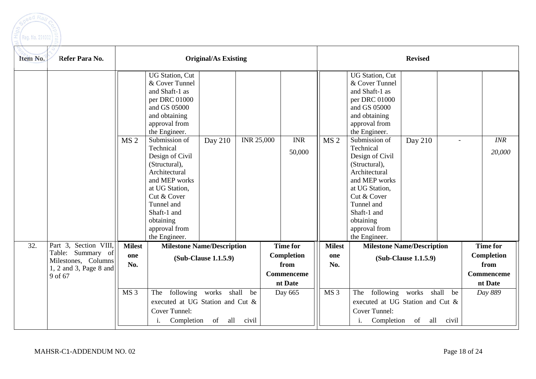

| Item No. | Refer Para No.                                             | <b>Original/As Existing</b> |                                                                                                                                                                                                                                                                                                                                                                 |                                    |                   |                                             |                 | <b>Revised</b>                                                                                                                                                                                                                                                                                                                                                   |                                    |             |                                                    |
|----------|------------------------------------------------------------|-----------------------------|-----------------------------------------------------------------------------------------------------------------------------------------------------------------------------------------------------------------------------------------------------------------------------------------------------------------------------------------------------------------|------------------------------------|-------------------|---------------------------------------------|-----------------|------------------------------------------------------------------------------------------------------------------------------------------------------------------------------------------------------------------------------------------------------------------------------------------------------------------------------------------------------------------|------------------------------------|-------------|----------------------------------------------------|
|          |                                                            | MS <sub>2</sub>             | <b>UG Station, Cut</b><br>& Cover Tunnel<br>and Shaft-1 as<br>per DRC 01000<br>and GS 05000<br>and obtaining<br>approval from<br>the Engineer.<br>Submission of<br>Technical<br>Design of Civil<br>(Structural),<br>Architectural<br>and MEP works<br>at UG Station,<br>Cut & Cover<br>Tunnel and<br>Shaft-1 and<br>obtaining<br>approval from<br>the Engineer. | Day 210                            | <b>INR 25,000</b> | <b>INR</b><br>50,000                        | MS <sub>2</sub> | <b>UG Station</b> , Cut<br>& Cover Tunnel<br>and Shaft-1 as<br>per DRC 01000<br>and GS 05000<br>and obtaining<br>approval from<br>the Engineer.<br>Submission of<br>Technical<br>Design of Civil<br>(Structural),<br>Architectural<br>and MEP works<br>at UG Station,<br>Cut & Cover<br>Tunnel and<br>Shaft-1 and<br>obtaining<br>approval from<br>the Engineer. | Day 210                            |             | INR<br>20,000                                      |
| 32.      | Part 3, Section VIII,<br>Summary of<br>Table:              | <b>Milest</b>               | <b>Milestone Name/Description</b>                                                                                                                                                                                                                                                                                                                               |                                    |                   | <b>Time for</b>                             | <b>Milest</b>   |                                                                                                                                                                                                                                                                                                                                                                  | <b>Milestone Name/Description</b>  |             | <b>Time for</b>                                    |
|          | Milestones, Columns<br>$1, 2$ and 3, Page 8 and<br>9 of 67 | one<br>No.                  |                                                                                                                                                                                                                                                                                                                                                                 | (Sub-Clause 1.1.5.9)               |                   | Completion<br>from<br>Commenceme<br>nt Date | one<br>No.      |                                                                                                                                                                                                                                                                                                                                                                  | (Sub-Clause 1.1.5.9)               |             | <b>Completion</b><br>from<br>Commenceme<br>nt Date |
|          |                                                            | MS <sub>3</sub>             | The<br>executed at UG Station and Cut &<br>Cover Tunnel:<br>Completion<br>i.                                                                                                                                                                                                                                                                                    | following works shall<br>all<br>of | be<br>civil       | Day 665                                     | MS <sub>3</sub> | The<br>executed at UG Station and Cut &<br>Cover Tunnel:<br>Completion<br>i.                                                                                                                                                                                                                                                                                     | following works shall<br>all<br>of | be<br>civil | Day 889                                            |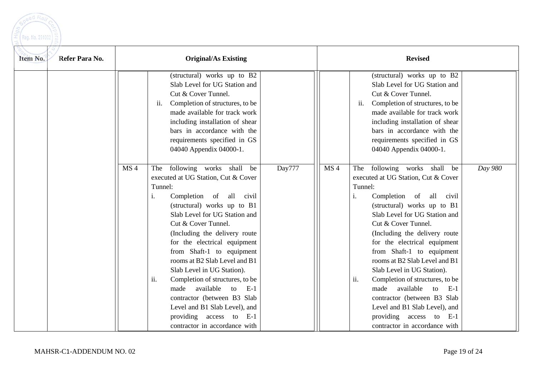

| Refer Para No.<br>Item No. |                 | <b>Original/As Existing</b>                                                                                                                                                                                                                                                                                                                                                                                                                                                                                                                                                          |        |                 | <b>Revised</b>                                                                                                                                                                                                                                                                                                                                                                                                                                                                                                                                                          |         |  |  |  |
|----------------------------|-----------------|--------------------------------------------------------------------------------------------------------------------------------------------------------------------------------------------------------------------------------------------------------------------------------------------------------------------------------------------------------------------------------------------------------------------------------------------------------------------------------------------------------------------------------------------------------------------------------------|--------|-----------------|-------------------------------------------------------------------------------------------------------------------------------------------------------------------------------------------------------------------------------------------------------------------------------------------------------------------------------------------------------------------------------------------------------------------------------------------------------------------------------------------------------------------------------------------------------------------------|---------|--|--|--|
|                            |                 | (structural) works up to B2<br>Slab Level for UG Station and<br>Cut & Cover Tunnel.<br>Completion of structures, to be<br>ii.<br>made available for track work<br>including installation of shear<br>bars in accordance with the<br>requirements specified in GS<br>04040 Appendix 04000-1.                                                                                                                                                                                                                                                                                          |        |                 | (structural) works up to B2<br>Slab Level for UG Station and<br>Cut & Cover Tunnel.<br>Completion of structures, to be<br>ii.<br>made available for track work<br>including installation of shear<br>bars in accordance with the<br>requirements specified in GS<br>04040 Appendix 04000-1.                                                                                                                                                                                                                                                                             |         |  |  |  |
|                            | MS <sub>4</sub> | The following works shall<br>be<br>executed at UG Station, Cut & Cover<br>Tunnel:<br>Completion of all<br>civil<br>i.<br>(structural) works up to B1<br>Slab Level for UG Station and<br>Cut & Cover Tunnel.<br>(Including the delivery route<br>for the electrical equipment<br>from Shaft-1 to equipment<br>rooms at B2 Slab Level and B1<br>Slab Level in UG Station).<br>ii.<br>Completion of structures, to be<br>available<br>made<br>to<br>$-E-1$<br>contractor (between B3 Slab<br>Level and B1 Slab Level), and<br>providing access to E-1<br>contractor in accordance with | Day777 | MS <sub>4</sub> | The following works shall be<br>executed at UG Station, Cut & Cover<br>Tunnel:<br>Completion of all civil<br>i.<br>(structural) works up to B1<br>Slab Level for UG Station and<br>Cut & Cover Tunnel.<br>(Including the delivery route<br>for the electrical equipment<br>from Shaft-1 to equipment<br>rooms at B2 Slab Level and B1<br>Slab Level in UG Station).<br>ii.<br>Completion of structures, to be<br>made available to<br>- E-1<br>contractor (between B3 Slab<br>Level and B1 Slab Level), and<br>providing access to E-1<br>contractor in accordance with | Day 980 |  |  |  |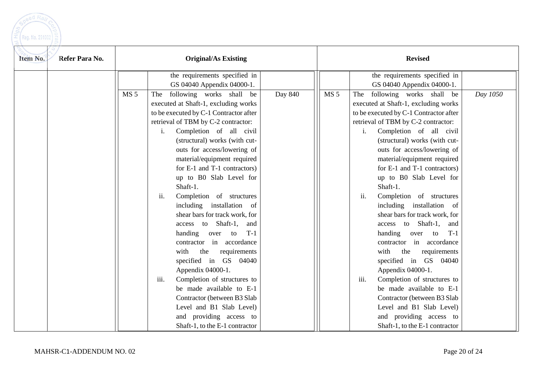need Ra Reg. No. 291002

| Refer Para No.<br>Item No. |                                                                                                                                                                                                                                               | <b>Original/As Existing</b>                                                                                                                                                                                                                                                                                                                                                                                                                                                                                                                                                                              |                 | <b>Revised</b>                                                                                                                                                                                                                                                                                                                                                                                                                                                                                                                                                                                                                                                                                                                                                                                                                    |          |  |  |
|----------------------------|-----------------------------------------------------------------------------------------------------------------------------------------------------------------------------------------------------------------------------------------------|----------------------------------------------------------------------------------------------------------------------------------------------------------------------------------------------------------------------------------------------------------------------------------------------------------------------------------------------------------------------------------------------------------------------------------------------------------------------------------------------------------------------------------------------------------------------------------------------------------|-----------------|-----------------------------------------------------------------------------------------------------------------------------------------------------------------------------------------------------------------------------------------------------------------------------------------------------------------------------------------------------------------------------------------------------------------------------------------------------------------------------------------------------------------------------------------------------------------------------------------------------------------------------------------------------------------------------------------------------------------------------------------------------------------------------------------------------------------------------------|----------|--|--|
|                            |                                                                                                                                                                                                                                               | the requirements specified in<br>GS 04040 Appendix 04000-1.                                                                                                                                                                                                                                                                                                                                                                                                                                                                                                                                              |                 | the requirements specified in<br>GS 04040 Appendix 04000-1.                                                                                                                                                                                                                                                                                                                                                                                                                                                                                                                                                                                                                                                                                                                                                                       |          |  |  |
|                            | MS <sub>5</sub><br>The following works shall be<br>executed at Shaft-1, excluding works<br>to be executed by C-1 Contractor after<br>retrieval of TBM by C-2 contractor:<br>i.<br>Shaft-1.<br>ii.<br>the<br>with<br>Appendix 04000-1.<br>iii. | Day 840<br>Completion of all civil<br>(structural) works (with cut-<br>outs for access/lowering of<br>material/equipment required<br>for E-1 and T-1 contractors)<br>up to B0 Slab Level for<br>Completion of structures<br>including installation of<br>shear bars for track work, for<br>access to Shaft-1,<br>and<br>handing over to<br>$T-1$<br>contractor in accordance<br>requirements<br>specified in GS 04040<br>Completion of structures to<br>be made available to E-1<br>Contractor (between B3 Slab<br>Level and B1 Slab Level)<br>and providing access to<br>Shaft-1, to the E-1 contractor | MS <sub>5</sub> | following works shall be<br>The<br>executed at Shaft-1, excluding works<br>to be executed by C-1 Contractor after<br>retrieval of TBM by C-2 contractor:<br>Completion of all civil<br>i.<br>(structural) works (with cut-<br>outs for access/lowering of<br>material/equipment required<br>for E-1 and T-1 contractors)<br>up to B0 Slab Level for<br>Shaft-1.<br>ii.<br>Completion of structures<br>including installation of<br>shear bars for track work, for<br>Shaft-1,<br>access to<br>and<br>handing over to<br>$T-1$<br>contractor in accordance<br>requirements<br>with<br>the<br>specified in GS 04040<br>Appendix 04000-1.<br>Completion of structures to<br>iii.<br>be made available to E-1<br>Contractor (between B3 Slab<br>Level and B1 Slab Level)<br>and providing access to<br>Shaft-1, to the E-1 contractor | Day 1050 |  |  |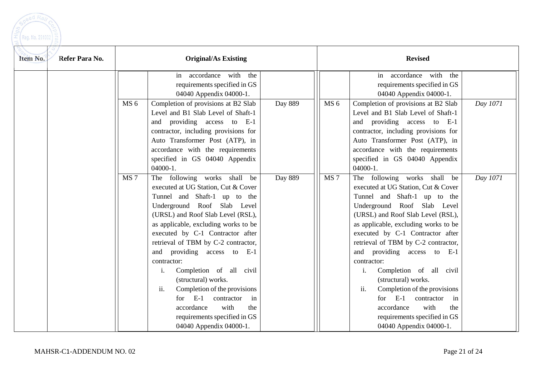| eed Rail        |                |
|-----------------|----------------|
|                 |                |
| Reg. No. 291002 | $\overline{a}$ |
|                 |                |

| Item No.<br>Refer Para No. |                 | <b>Original/As Existing</b>          |         |                 | <b>Revised</b>                       |          |
|----------------------------|-----------------|--------------------------------------|---------|-----------------|--------------------------------------|----------|
|                            |                 | in accordance with<br>the            |         |                 | accordance with<br>the<br>in         |          |
|                            |                 | requirements specified in GS         |         |                 | requirements specified in GS         |          |
|                            |                 | 04040 Appendix 04000-1.              |         |                 | 04040 Appendix 04000-1.              |          |
|                            | MS <sub>6</sub> | Completion of provisions at B2 Slab  | Day 889 | MS <sub>6</sub> | Completion of provisions at B2 Slab  | Day 1071 |
|                            |                 | Level and B1 Slab Level of Shaft-1   |         |                 | Level and B1 Slab Level of Shaft-1   |          |
|                            |                 | and providing access to E-1          |         |                 | and providing access to E-1          |          |
|                            |                 | contractor, including provisions for |         |                 | contractor, including provisions for |          |
|                            |                 | Auto Transformer Post (ATP), in      |         |                 | Auto Transformer Post (ATP), in      |          |
|                            |                 | accordance with the requirements     |         |                 | accordance with the requirements     |          |
|                            |                 | specified in GS 04040 Appendix       |         |                 | specified in GS 04040 Appendix       |          |
|                            |                 | $04000-1.$                           |         |                 | $04000-1.$                           |          |
|                            | MS <sub>7</sub> | The following works shall be         | Day 889 | MS <sub>7</sub> | The following works shall be         | Day 1071 |
|                            |                 | executed at UG Station, Cut & Cover  |         |                 | executed at UG Station, Cut & Cover  |          |
|                            |                 | Tunnel and Shaft-1 up to the         |         |                 | Tunnel and Shaft-1 up to the         |          |
|                            |                 | Underground Roof Slab Level          |         |                 | Underground Roof Slab Level          |          |
|                            |                 | (URSL) and Roof Slab Level (RSL),    |         |                 | (URSL) and Roof Slab Level (RSL),    |          |
|                            |                 | as applicable, excluding works to be |         |                 | as applicable, excluding works to be |          |
|                            |                 | executed by C-1 Contractor after     |         |                 | executed by C-1 Contractor after     |          |
|                            |                 | retrieval of TBM by C-2 contractor,  |         |                 | retrieval of TBM by C-2 contractor,  |          |
|                            |                 | and providing access to E-1          |         |                 | and providing access to E-1          |          |
|                            |                 | contractor:                          |         |                 | contractor:                          |          |
|                            |                 | Completion of all civil<br>1.        |         |                 | Completion of all civil<br>1.        |          |
|                            |                 | (structural) works.                  |         |                 | (structural) works.                  |          |
|                            |                 | Completion of the provisions<br>ii.  |         |                 | ii.<br>Completion of the provisions  |          |
|                            |                 | $E-1$<br>contractor<br>in<br>for     |         |                 | $E-1$<br>contractor<br>for<br>in     |          |
|                            |                 | with<br>accordance<br>the            |         |                 | with<br>accordance<br>the            |          |
|                            |                 | requirements specified in GS         |         |                 | requirements specified in GS         |          |
|                            |                 | 04040 Appendix 04000-1.              |         |                 | 04040 Appendix 04000-1.              |          |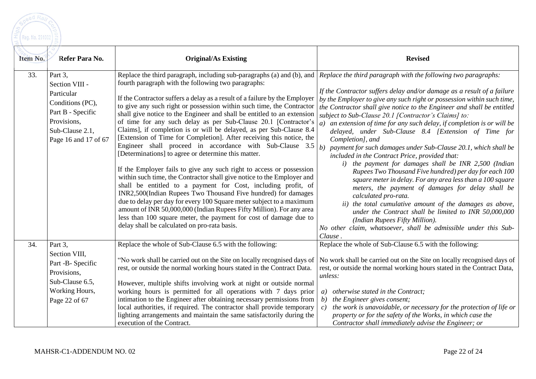$\left[\text{Reg. No. } 291002\right)\substack{0 \text{ Q}}{1100}$ 

eed Ra

| Item No. | Refer Para No.                                                                                                                             | <b>Original/As Existing</b>                                                                                                                                                                                                                                                                                                                                                                                                                                                                                                                                                                                                                                                                                                                                                                                                                                                                                                                                                                                                                                                                                                                                                                                                                                                                                                  | <b>Revised</b>                                                                                                                                                                                                                                                                                                                                                                                                                                                                                                                                                                                                                                                                                                                                                                                                                                                                                                                                                                                                                                                   |
|----------|--------------------------------------------------------------------------------------------------------------------------------------------|------------------------------------------------------------------------------------------------------------------------------------------------------------------------------------------------------------------------------------------------------------------------------------------------------------------------------------------------------------------------------------------------------------------------------------------------------------------------------------------------------------------------------------------------------------------------------------------------------------------------------------------------------------------------------------------------------------------------------------------------------------------------------------------------------------------------------------------------------------------------------------------------------------------------------------------------------------------------------------------------------------------------------------------------------------------------------------------------------------------------------------------------------------------------------------------------------------------------------------------------------------------------------------------------------------------------------|------------------------------------------------------------------------------------------------------------------------------------------------------------------------------------------------------------------------------------------------------------------------------------------------------------------------------------------------------------------------------------------------------------------------------------------------------------------------------------------------------------------------------------------------------------------------------------------------------------------------------------------------------------------------------------------------------------------------------------------------------------------------------------------------------------------------------------------------------------------------------------------------------------------------------------------------------------------------------------------------------------------------------------------------------------------|
| 33.      | Part 3,<br>Section VIII -<br>Particular<br>Conditions (PC),<br>Part B - Specific<br>Provisions,<br>Sub-Clause 2.1,<br>Page 16 and 17 of 67 | Replace the third paragraph, including sub-paragraphs (a) and (b), and Replace the third paragraph with the following two paragraphs:<br>fourth paragraph with the following two paragraphs:<br>If the Contractor suffers a delay as a result of a failure by the Employer<br>to give any such right or possession within such time, the Contractor<br>shall give notice to the Engineer and shall be entitled to an extension<br>of time for any such delay as per Sub-Clause 20.1 [Contractor's<br>Claims], if completion is or will be delayed, as per Sub-Clause 8.4<br>[Extension of Time for Completion]. After receiving this notice, the<br>Engineer shall proceed in accordance with Sub-Clause 3.5<br>[Determinations] to agree or determine this matter.<br>If the Employer fails to give any such right to access or possession<br>within such time, the Contractor shall give notice to the Employer and<br>shall be entitled to a payment for Cost, including profit, of<br>INR2,500(Indian Rupees Two Thousand Five hundred) for damages<br>due to delay per day for every 100 Square meter subject to a maximum<br>amount of INR 50,000,000 (Indian Rupees Fifty Million). For any area<br>less than 100 square meter, the payment for cost of damage due to<br>delay shall be calculated on pro-rata basis. | If the Contractor suffers delay and/or damage as a result of a failure<br>by the Employer to give any such right or possession within such time,<br>the Contractor shall give notice to the Engineer and shall be entitled<br>subject to Sub-Clause 20.1 [Contractor's Claims] to:<br>an extension of time for any such delay, if completion is or will be<br>delayed, under Sub-Clause 8.4 [Extension of Time for<br>Completion], and<br>b) payment for such damages under Sub-Clause 20.1, which shall be<br>included in the Contract Price, provided that:<br>i) the payment for damages shall be INR 2,500 (Indian<br>Rupees Two Thousand Five hundred) per day for each 100<br>square meter in delay. For any area less than a 100 square<br>meters, the payment of damages for delay shall be<br>calculated pro-rata.<br>ii) the total cumulative amount of the damages as above,<br>under the Contract shall be limited to INR 50,000,000<br>(Indian Rupees Fifty Million).<br>No other claim, whatsoever, shall be admissible under this Sub-<br>Clause. |
| 34.      | Part 3,<br>Section VIII,<br>Part -B- Specific<br>Provisions,<br>Sub-Clause 6.5,<br>Working Hours,<br>Page 22 of 67                         | Replace the whole of Sub-Clause 6.5 with the following:<br>"No work shall be carried out on the Site on locally recognised days of<br>rest, or outside the normal working hours stated in the Contract Data.<br>However, multiple shifts involving work at night or outside normal<br>working hours is permitted for all operations with 7 days prior<br>intimation to the Engineer after obtaining necessary permissions from<br>local authorities, if required. The contractor shall provide temporary<br>lighting arrangements and maintain the same satisfactorily during the<br>execution of the Contract.                                                                                                                                                                                                                                                                                                                                                                                                                                                                                                                                                                                                                                                                                                              | Replace the whole of Sub-Clause 6.5 with the following:<br>No work shall be carried out on the Site on locally recognised days of<br>rest, or outside the normal working hours stated in the Contract Data,<br>unless:<br>a) otherwise stated in the Contract;<br>the Engineer gives consent;<br>b)<br>the work is unavoidable, or necessary for the protection of life or<br>$\epsilon$ )<br>property or for the safety of the Works, in which case the<br>Contractor shall immediately advise the Engineer; or                                                                                                                                                                                                                                                                                                                                                                                                                                                                                                                                                 |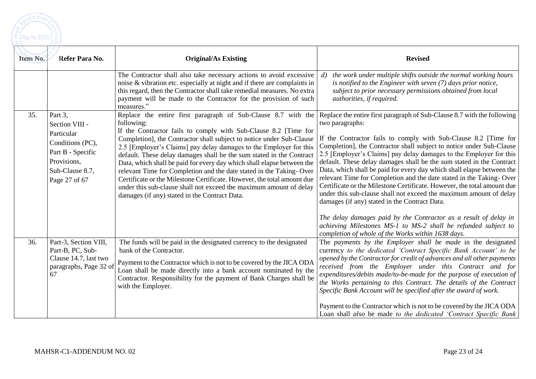

| Item No. | Refer Para No.                                                                                                                      | <b>Original/As Existing</b>                                                                                                                                                                                                                                                                                                                                                                                                                                                                                                                                                                                                                            | <b>Revised</b>                                                                                                                                                                                                                                                                                                                                                                                                                                                                                                                                                                                                                                                                                                                                                                                                                                                                                                                             |
|----------|-------------------------------------------------------------------------------------------------------------------------------------|--------------------------------------------------------------------------------------------------------------------------------------------------------------------------------------------------------------------------------------------------------------------------------------------------------------------------------------------------------------------------------------------------------------------------------------------------------------------------------------------------------------------------------------------------------------------------------------------------------------------------------------------------------|--------------------------------------------------------------------------------------------------------------------------------------------------------------------------------------------------------------------------------------------------------------------------------------------------------------------------------------------------------------------------------------------------------------------------------------------------------------------------------------------------------------------------------------------------------------------------------------------------------------------------------------------------------------------------------------------------------------------------------------------------------------------------------------------------------------------------------------------------------------------------------------------------------------------------------------------|
|          |                                                                                                                                     | The Contractor shall also take necessary actions to avoid excessive<br>noise & vibration etc. especially at night and if there are complaints in<br>this regard, then the Contractor shall take remedial measures. No extra<br>payment will be made to the Contractor for the provision of such<br>measures."                                                                                                                                                                                                                                                                                                                                          | the work under multiple shifts outside the normal working hours<br>d)<br>is notified to the Engineer with seven $(7)$ days prior notice,<br>subject to prior necessary permissions obtained from local<br>authorities, if required.                                                                                                                                                                                                                                                                                                                                                                                                                                                                                                                                                                                                                                                                                                        |
| 35.      | Part 3,<br>Section VIII -<br>Particular<br>Conditions (PC),<br>Part B - Specific<br>Provisions,<br>Sub-Clause 8.7,<br>Page 27 of 67 | following:<br>If the Contractor fails to comply with Sub-Clause 8.2 [Time for<br>Completion], the Contractor shall subject to notice under Sub-Clause<br>2.5 [Employer's Claims] pay delay damages to the Employer for this<br>default. These delay damages shall be the sum stated in the Contract<br>Data, which shall be paid for every day which shall elapse between the<br>relevant Time for Completion and the date stated in the Taking-Over<br>Certificate or the Milestone Certificate. However, the total amount due<br>under this sub-clause shall not exceed the maximum amount of delay<br>damages (if any) stated in the Contract Data. | Replace the entire first paragraph of Sub-Clause 8.7 with the Replace the entire first paragraph of Sub-Clause 8.7 with the following<br>two paragraphs:<br>If the Contractor fails to comply with Sub-Clause 8.2 [Time for<br>Completion], the Contractor shall subject to notice under Sub-Clause<br>2.5 [Employer's Claims] pay delay damages to the Employer for this<br>default. These delay damages shall be the sum stated in the Contract<br>Data, which shall be paid for every day which shall elapse between the<br>relevant Time for Completion and the date stated in the Taking-Over<br>Certificate or the Milestone Certificate. However, the total amount due<br>under this sub-clause shall not exceed the maximum amount of delay<br>damages (if any) stated in the Contract Data.<br>The delay damages paid by the Contractor as a result of delay in<br>achieving Milestones MS-1 to MS-2 shall be refunded subject to |
| 36.      | Part-3, Section VIII,<br>Part-B, PC, Sub-<br>Clause 14.7, last two<br>paragraphs, Page 32 of<br>67                                  | The funds will be paid in the designated currency to the designated<br>bank of the Contractor.<br>Payment to the Contractor which is not to be covered by the JICA ODA<br>Loan shall be made directly into a bank account nominated by the<br>Contractor. Responsibility for the payment of Bank Charges shall be<br>with the Employer.                                                                                                                                                                                                                                                                                                                | completion of whole of the Works within 1638 days.<br>The payments by the Employer shall be made in the designated<br>currency to the dedicated 'Contract Specific Bank Account' to be<br>opened by the Contractor for credit of advances and all other payments<br>received from the Employer under this Contract and for<br>expenditures/debits made/to-be-made for the purpose of execution of<br>the Works pertaining to this Contract. The details of the Contract<br>Specific Bank Account will be specified after the award of work.<br>Payment to the Contractor which is not to be covered by the JICA ODA<br>Loan shall also be made to the dedicated 'Contract Specific Bank                                                                                                                                                                                                                                                    |